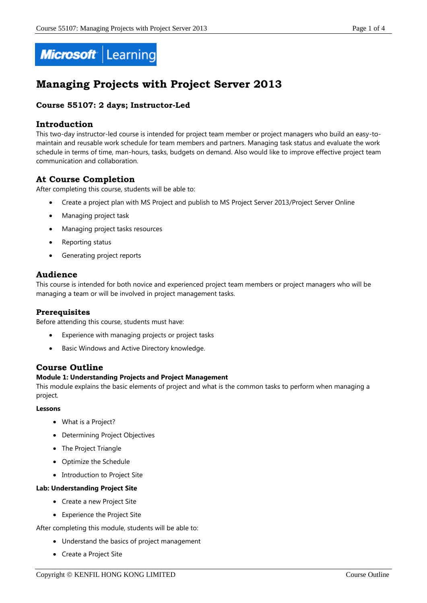

# **Managing Projects with Project Server 2013**

# **Course 55107: 2 days; Instructor-Led**

# **Introduction**

This two-day instructor-led course is intended for project team member or project managers who build an easy-tomaintain and reusable work schedule for team members and partners. Managing task status and evaluate the work schedule in terms of time, man-hours, tasks, budgets on demand. Also would like to improve effective project team communication and collaboration.

# **At Course Completion**

After completing this course, students will be able to:

- Create a project plan with MS Project and publish to MS Project Server 2013/Project Server Online
- Managing project task
- Managing project tasks resources
- Reporting status
- Generating project reports

# **Audience**

This course is intended for both novice and experienced project team members or project managers who will be managing a team or will be involved in project management tasks.

# **Prerequisites**

Before attending this course, students must have:

- Experience with managing projects or project tasks
- Basic Windows and Active Directory knowledge.

# **Course Outline**

#### **Module 1: Understanding Projects and Project Management**

This module explains the basic elements of project and what is the common tasks to perform when managing a project.

#### **Lessons**

- What is a Project?
- Determining Project Objectives
- The Project Triangle
- Optimize the Schedule
- Introduction to Project Site

#### **Lab: Understanding Project Site**

- Create a new Project Site
- Experience the Project Site

After completing this module, students will be able to:

- Understand the basics of project management
- Create a Project Site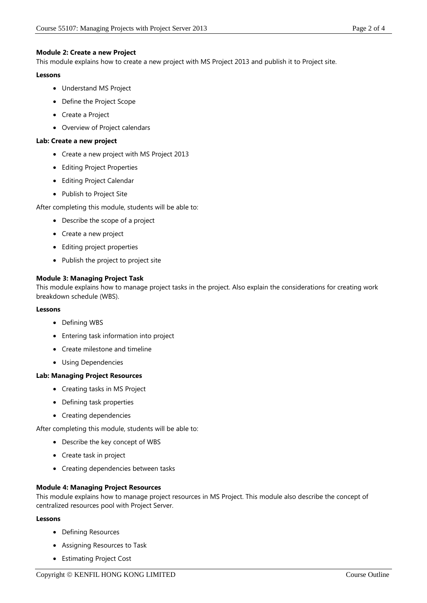## **Module 2: Create a new Project**

This module explains how to create a new project with MS Project 2013 and publish it to Project site.

#### **Lessons**

- Understand MS Project
- Define the Project Scope
- Create a Project
- Overview of Project calendars

#### **Lab: Create a new project**

- Create a new project with MS Project 2013
- Editing Project Properties
- Editing Project Calendar
- Publish to Project Site

After completing this module, students will be able to:

- Describe the scope of a project
- Create a new project
- Editing project properties
- Publish the project to project site

## **Module 3: Managing Project Task**

This module explains how to manage project tasks in the project. Also explain the considerations for creating work breakdown schedule (WBS).

#### **Lessons**

- Defining WBS
- Entering task information into project
- Create milestone and timeline
- Using Dependencies

#### **Lab: Managing Project Resources**

- Creating tasks in MS Project
- Defining task properties
- Creating dependencies

After completing this module, students will be able to:

- Describe the key concept of WBS
- Create task in project
- Creating dependencies between tasks

#### **Module 4: Managing Project Resources**

This module explains how to manage project resources in MS Project. This module also describe the concept of centralized resources pool with Project Server.

#### **Lessons**

- Defining Resources
- Assigning Resources to Task
- Estimating Project Cost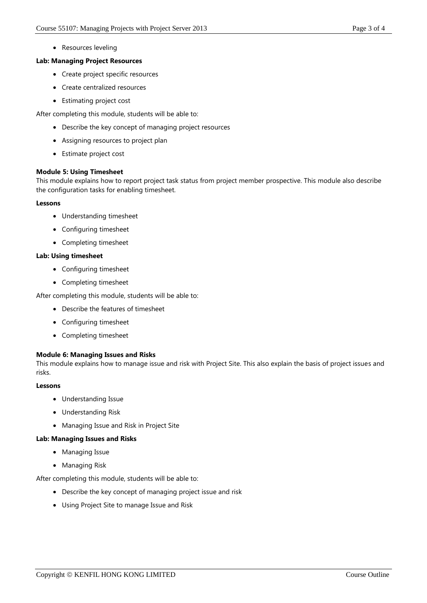• Resources leveling

#### **Lab: Managing Project Resources**

- Create project specific resources
- Create centralized resources
- Estimating project cost

After completing this module, students will be able to:

- Describe the key concept of managing project resources
- Assigning resources to project plan
- Estimate project cost

#### **Module 5: Using Timesheet**

This module explains how to report project task status from project member prospective. This module also describe the configuration tasks for enabling timesheet.

#### **Lessons**

- Understanding timesheet
- Configuring timesheet
- Completing timesheet

#### **Lab: Using timesheet**

- Configuring timesheet
- Completing timesheet

After completing this module, students will be able to:

- Describe the features of timesheet
- Configuring timesheet
- Completing timesheet

#### **Module 6: Managing Issues and Risks**

This module explains how to manage issue and risk with Project Site. This also explain the basis of project issues and risks.

#### **Lessons**

- Understanding Issue
- Understanding Risk
- Managing Issue and Risk in Project Site

#### **Lab: Managing Issues and Risks**

- Managing Issue
- Managing Risk

After completing this module, students will be able to:

- Describe the key concept of managing project issue and risk
- Using Project Site to manage Issue and Risk